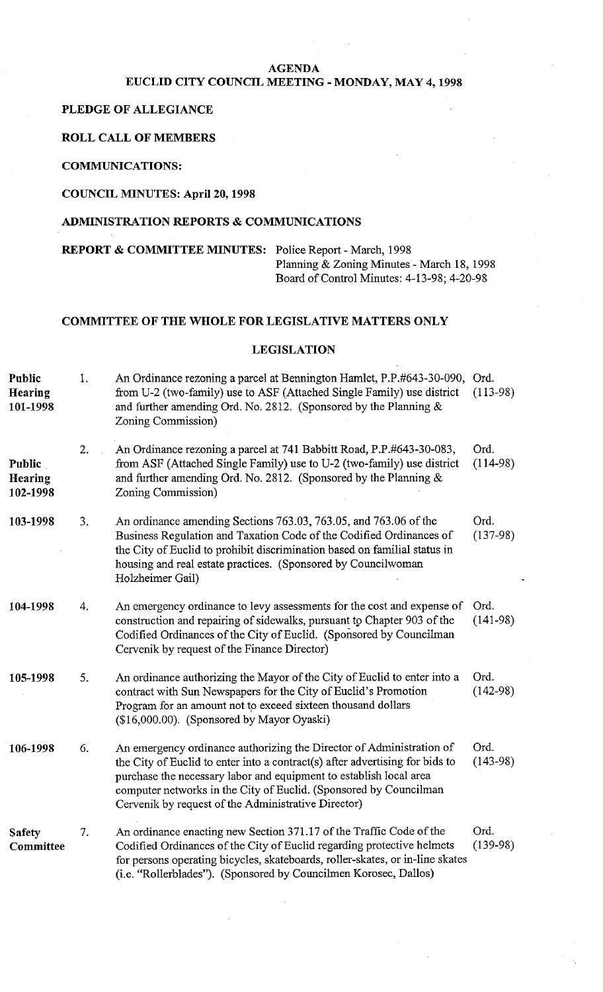## **AGENDA**

# **EUCLID CITY COUNCIL MEETING** - **MONDAY, MAY 4,1998**

#### **PLEDGE OF ALLEGIANCE**

#### **ROLL CALL OF MEMBERS**

#### **COMMUNICATIONS:**

**COUNCIL MINUTES: April 20,1998** 

## **ADMINISTRATION REPORTS** & **COMMUNICATIONS**

**REPORT** & **COMMITTEE MINUTES:** Police Report - March, 1998 Planning & Zoning Minutes - March 18, 1998 Board of Control Minutes: 4-13-98; 4-20-98

## **COMMITTEE OF THE WHOLE FOR LEGISLATIVE MATTERS ONLY**

## **LEGISLATION**

| Public<br>Hearing<br>101-1998 | 1.             | An Ordinance rezoning a parcel at Bennington Hamlet, P.P.#643-30-090,<br>from U-2 (two-family) use to ASF (Attached Single Family) use district<br>and further amending Ord. No. 2812. (Sponsored by the Planning $\&$<br>Zoning Commission)                                                                                                           | Ord.<br>$(113-98)$ |
|-------------------------------|----------------|--------------------------------------------------------------------------------------------------------------------------------------------------------------------------------------------------------------------------------------------------------------------------------------------------------------------------------------------------------|--------------------|
| Public<br>Hearing<br>102-1998 | 2.             | An Ordinance rezoning a parcel at 741 Babbitt Road, P.P.#643-30-083,<br>from ASF (Attached Single Family) use to U-2 (two-family) use district<br>and further amending Ord. No. 2812. (Sponsored by the Planning $\&$<br>Zoning Commission)                                                                                                            | Ord.<br>$(114-98)$ |
| 103-1998                      | 3.             | An ordinance amending Sections 763.03, 763.05, and 763.06 of the<br>Business Regulation and Taxation Code of the Codified Ordinances of<br>the City of Euclid to prohibit discrimination based on familial status in<br>housing and real estate practices. (Sponsored by Councilwoman<br>Holzheimer Gail)                                              | Ord.<br>$(137-98)$ |
| 104-1998                      | $\overline{4}$ | An emergency ordinance to levy assessments for the cost and expense of<br>construction and repairing of sidewalks, pursuant to Chapter 903 of the<br>Codified Ordinances of the City of Euclid. (Sponsored by Councilman<br>Cervenik by request of the Finance Director)                                                                               | Ord.<br>$(141-98)$ |
| 105-1998                      | 5.             | An ordinance authorizing the Mayor of the City of Euclid to enter into a<br>contract with Sun Newspapers for the City of Euclid's Promotion<br>Program for an amount not to exceed sixteen thousand dollars<br>(\$16,000.00). (Sponsored by Mayor Oyaski)                                                                                              | Ord.<br>$(142-98)$ |
| 106-1998                      | 6.             | An emergency ordinance authorizing the Director of Administration of<br>the City of Euclid to enter into a contract(s) after advertising for bids to<br>purchase the necessary labor and equipment to establish local area<br>computer networks in the City of Euclid. (Sponsored by Councilman<br>Cervenik by request of the Administrative Director) | Ord.<br>$(143-98)$ |
| <b>Safety</b><br>Committee    | 7.             | An ordinance enacting new Section 371.17 of the Traffic Code of the<br>Codified Ordinances of the City of Euclid regarding protective helmets<br>for persons operating bicycles, skateboards, roller-skates, or in-line skates<br>(i.e. "Rollerblades"). (Sponsored by Councilmen Korosec, Dallos)                                                     | Ord.<br>$(139-98)$ |